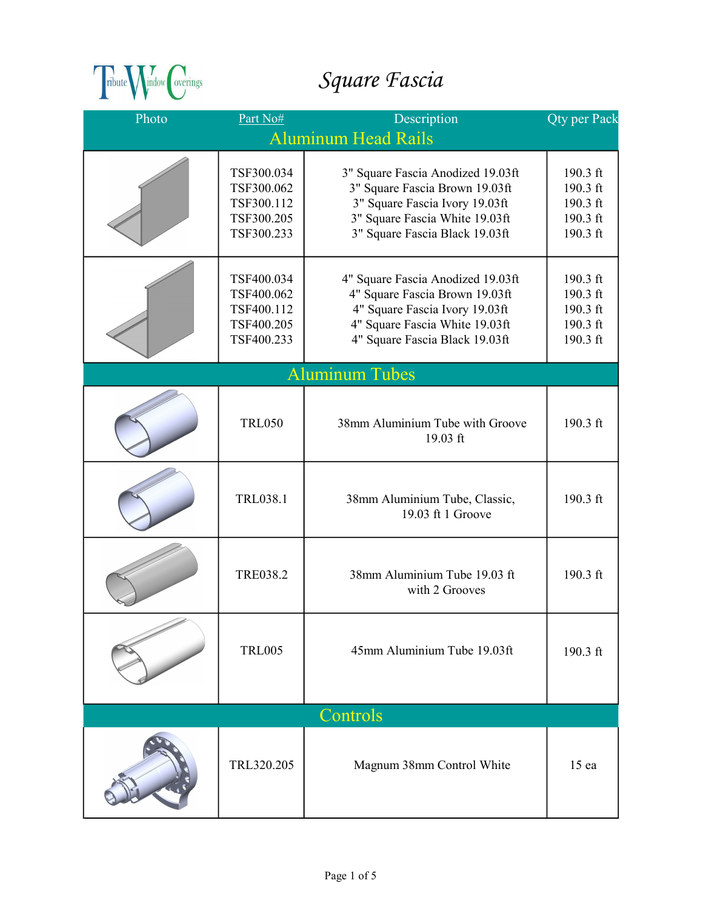

## Square Fascia

| Photo                      | Part No#                                                           | Description                                                                                                                                                               | <b>Qty per Pack</b>                                      |
|----------------------------|--------------------------------------------------------------------|---------------------------------------------------------------------------------------------------------------------------------------------------------------------------|----------------------------------------------------------|
| <b>Aluminum Head Rails</b> |                                                                    |                                                                                                                                                                           |                                                          |
|                            | TSF300.034<br>TSF300.062<br>TSF300.112<br>TSF300.205<br>TSF300.233 | 3" Square Fascia Anodized 19.03ft<br>3" Square Fascia Brown 19.03ft<br>3" Square Fascia Ivory 19.03ft<br>3" Square Fascia White 19.03ft<br>3" Square Fascia Black 19.03ft | 190.3 ft<br>190.3 ft<br>190.3 ft<br>190.3 ft<br>190.3 ft |
|                            | TSF400.034<br>TSF400.062<br>TSF400.112<br>TSF400.205<br>TSF400.233 | 4" Square Fascia Anodized 19.03ft<br>4" Square Fascia Brown 19.03ft<br>4" Square Fascia Ivory 19.03ft<br>4" Square Fascia White 19.03ft<br>4" Square Fascia Black 19.03ft | 190.3 ft<br>190.3 ft<br>190.3 ft<br>190.3 ft<br>190.3 ft |
|                            |                                                                    | <b>Aluminum Tubes</b>                                                                                                                                                     |                                                          |
|                            | <b>TRL050</b>                                                      | 38mm Aluminium Tube with Groove<br>19.03 ft                                                                                                                               | 190.3 ft                                                 |
|                            | TRL038.1                                                           | 38mm Aluminium Tube, Classic,<br>19.03 ft 1 Groove                                                                                                                        | 190.3 ft                                                 |
|                            | <b>TRE038.2</b>                                                    | 38mm Aluminium Tube 19.03 ft<br>with 2 Grooves                                                                                                                            | 190.3 ft                                                 |
|                            | <b>TRL005</b>                                                      | 45mm Aluminium Tube 19.03ft                                                                                                                                               | 190.3 ft                                                 |
| Controls                   |                                                                    |                                                                                                                                                                           |                                                          |
|                            | TRL320.205                                                         | Magnum 38mm Control White                                                                                                                                                 | 15 <sub>ea</sub>                                         |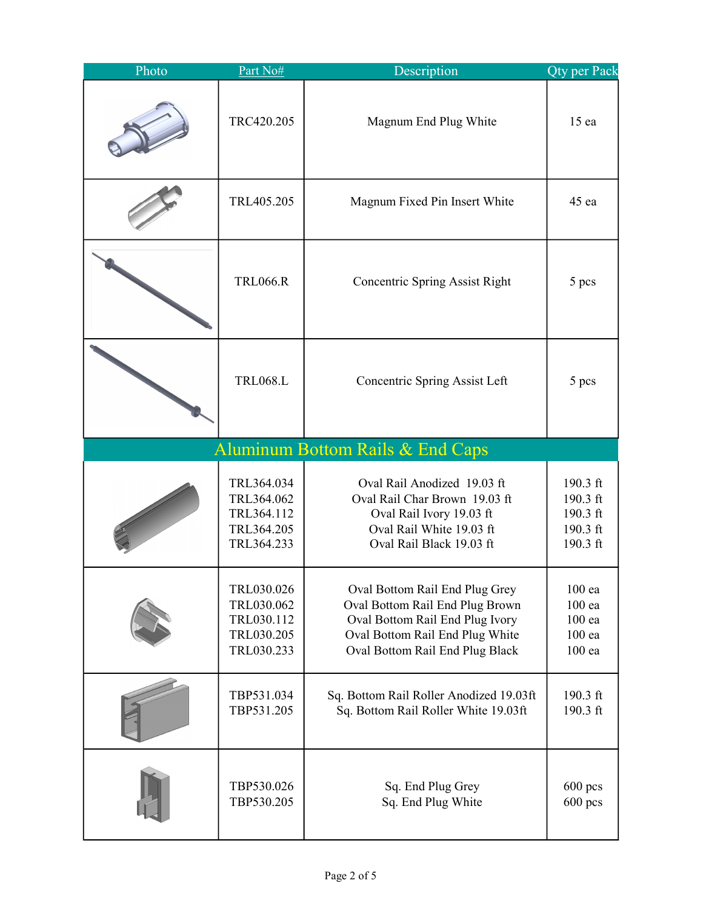| Photo | Part No#                                                           | Description                                                                                                                                                                | <b>Qty per Pack</b>                                      |
|-------|--------------------------------------------------------------------|----------------------------------------------------------------------------------------------------------------------------------------------------------------------------|----------------------------------------------------------|
|       | TRC420.205                                                         | Magnum End Plug White                                                                                                                                                      | 15 ea                                                    |
|       | TRL405.205                                                         | Magnum Fixed Pin Insert White                                                                                                                                              | 45 ea                                                    |
|       | <b>TRL066.R</b>                                                    | <b>Concentric Spring Assist Right</b>                                                                                                                                      | 5 pcs                                                    |
|       | <b>TRL068.L</b>                                                    | <b>Concentric Spring Assist Left</b>                                                                                                                                       | 5 pcs                                                    |
|       |                                                                    | <b>Aluminum Bottom Rails &amp; End Caps</b>                                                                                                                                |                                                          |
|       | TRL364.034<br>TRL364.062<br>TRL364.112<br>TRL364.205<br>TRL364.233 | Oval Rail Anodized 19.03 ft<br>Oval Rail Char Brown 19.03 ft<br>Oval Rail Ivory 19.03 ft<br>Oval Rail White 19.03 ft<br>Oval Rail Black 19.03 ft                           | 190.3 ft<br>190.3 ft<br>190.3 ft<br>190.3 ft<br>190.3 ft |
|       | TRL030.026<br>TRL030.062<br>TRL030.112<br>TRL030.205<br>TRL030.233 | Oval Bottom Rail End Plug Grey<br>Oval Bottom Rail End Plug Brown<br>Oval Bottom Rail End Plug Ivory<br>Oval Bottom Rail End Plug White<br>Oval Bottom Rail End Plug Black | 100 ea<br>$100$ ea<br>$100$ ea<br>100 ea<br>$100$ ea     |
|       | TBP531.034<br>TBP531.205                                           | Sq. Bottom Rail Roller Anodized 19.03ft<br>Sq. Bottom Rail Roller White 19.03ft                                                                                            | 190.3 ft<br>190.3 ft                                     |
|       | TBP530.026<br>TBP530.205                                           | Sq. End Plug Grey<br>Sq. End Plug White                                                                                                                                    | $600$ pcs<br>$600$ pcs                                   |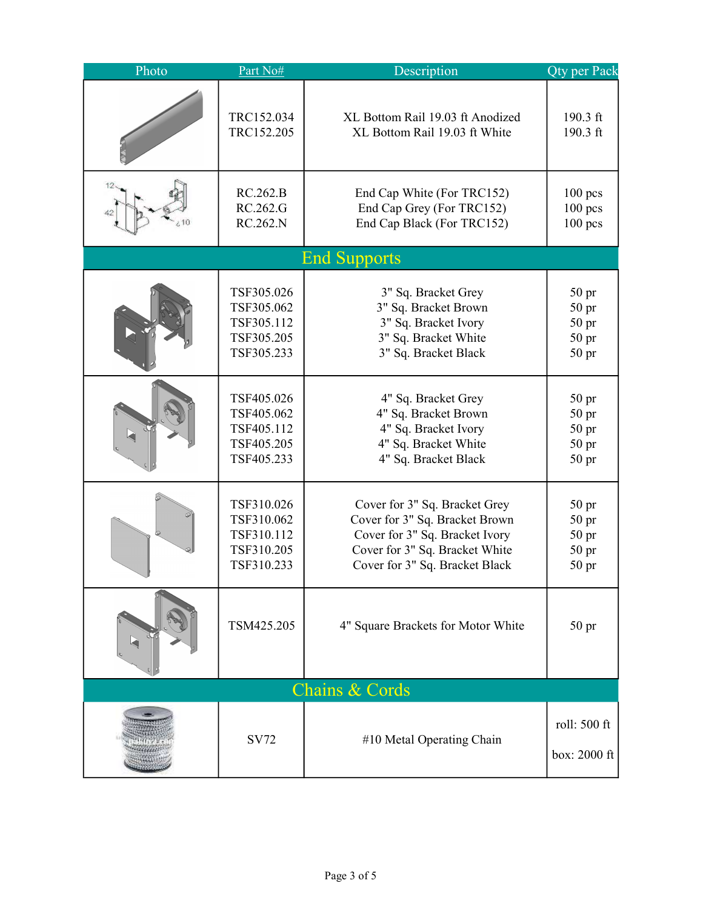| Photo                     | Part No#   | Description                        | Qty per Pack                 |
|---------------------------|------------|------------------------------------|------------------------------|
|                           | TRC152.034 | XL Bottom Rail 19.03 ft Anodized   | 190.3 ft                     |
|                           | TRC152.205 | XL Bottom Rail 19.03 ft White      | 190.3 ft                     |
|                           | RC.262.B   | End Cap White (For TRC152)         | $100$ pcs                    |
|                           | RC.262.G   | End Cap Grey (For TRC152)          | $100$ pcs                    |
|                           | RC.262.N   | End Cap Black (For TRC152)         | $100$ pcs                    |
|                           |            | <b>End Supports</b>                |                              |
|                           | TSF305.026 | 3" Sq. Bracket Grey                | 50 <sub>pr</sub>             |
|                           | TSF305.062 | 3" Sq. Bracket Brown               | 50 pr                        |
|                           | TSF305.112 | 3" Sq. Bracket Ivory               | 50 <sub>pr</sub>             |
|                           | TSF305.205 | 3" Sq. Bracket White               | 50 <sub>pr</sub>             |
|                           | TSF305.233 | 3" Sq. Bracket Black               | 50 <sub>pr</sub>             |
|                           | TSF405.026 | 4" Sq. Bracket Grey                | 50 <sub>pr</sub>             |
|                           | TSF405.062 | 4" Sq. Bracket Brown               | 50 <sub>pr</sub>             |
|                           | TSF405.112 | 4" Sq. Bracket Ivory               | 50 <sub>pr</sub>             |
|                           | TSF405.205 | 4" Sq. Bracket White               | 50 <sub>pr</sub>             |
|                           | TSF405.233 | 4" Sq. Bracket Black               | 50 <sub>pr</sub>             |
|                           | TSF310.026 | Cover for 3" Sq. Bracket Grey      | 50 <sub>pr</sub>             |
|                           | TSF310.062 | Cover for 3" Sq. Bracket Brown     | 50 pr                        |
|                           | TSF310.112 | Cover for 3" Sq. Bracket Ivory     | 50 <sub>pr</sub>             |
|                           | TSF310.205 | Cover for 3" Sq. Bracket White     | 50 <sub>pr</sub>             |
|                           | TSF310.233 | Cover for 3" Sq. Bracket Black     | 50 <sub>pr</sub>             |
|                           | TSM425.205 | 4" Square Brackets for Motor White | 50 <sub>pr</sub>             |
| <b>Chains &amp; Cords</b> |            |                                    |                              |
|                           | SV72       | #10 Metal Operating Chain          | roll: 500 ft<br>box: 2000 ft |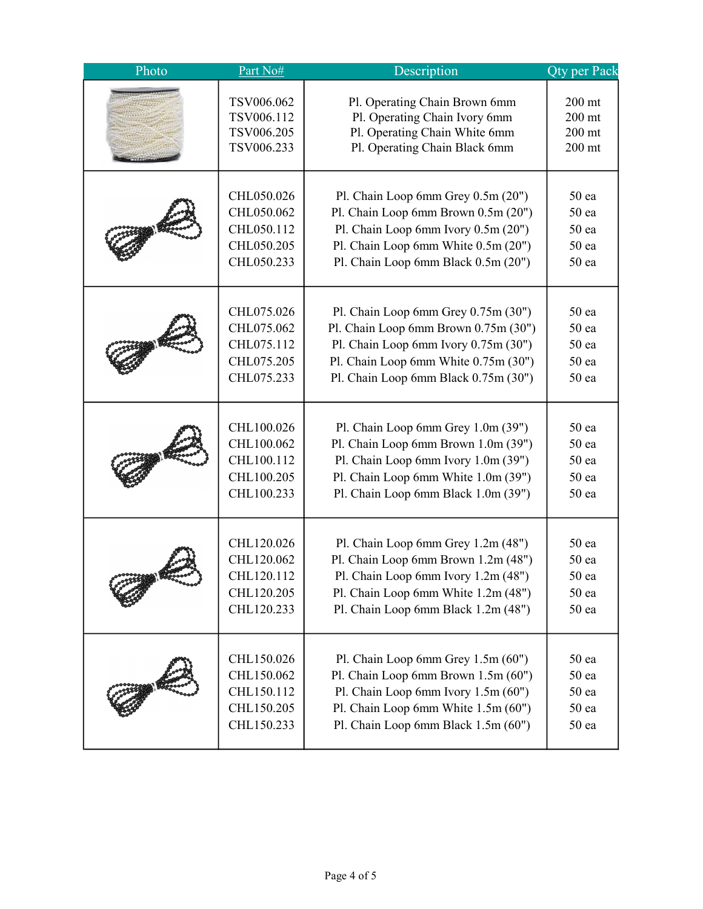| Photo | Part No#   | Description                          | <b>Qty per Pack</b> |
|-------|------------|--------------------------------------|---------------------|
|       | TSV006.062 | Pl. Operating Chain Brown 6mm        | $200$ mt            |
|       | TSV006.112 | Pl. Operating Chain Ivory 6mm        | $200$ mt            |
|       | TSV006.205 | Pl. Operating Chain White 6mm        | $200$ mt            |
|       | TSV006.233 | Pl. Operating Chain Black 6mm        | $200$ mt            |
|       | CHL050.026 | Pl. Chain Loop 6mm Grey 0.5m (20")   | 50 ea               |
|       | CHL050.062 | Pl. Chain Loop 6mm Brown 0.5m (20")  | 50 <sub>ea</sub>    |
|       | CHL050.112 | Pl. Chain Loop 6mm Ivory 0.5m (20")  | 50 ea               |
|       | CHL050.205 | Pl. Chain Loop 6mm White 0.5m (20")  | 50 <sub>ea</sub>    |
|       | CHL050.233 | Pl. Chain Loop 6mm Black 0.5m (20")  | 50 <sub>ea</sub>    |
|       | CHL075.026 | Pl. Chain Loop 6mm Grey $0.75m(30")$ | 50 ea               |
|       | CHL075.062 | Pl. Chain Loop 6mm Brown 0.75m (30") | 50 <sub>ea</sub>    |
|       | CHL075.112 | Pl. Chain Loop 6mm Ivory 0.75m (30") | 50 <sub>ea</sub>    |
|       | CHL075.205 | Pl. Chain Loop 6mm White 0.75m (30") | 50 <sub>ea</sub>    |
|       | CHL075.233 | Pl. Chain Loop 6mm Black 0.75m (30") | 50 ea               |
|       | CHL100.026 | Pl. Chain Loop 6mm Grey 1.0m (39")   | 50 ea               |
|       | CHL100.062 | Pl. Chain Loop 6mm Brown 1.0m (39")  | 50 ea               |
|       | CHL100.112 | Pl. Chain Loop 6mm Ivory 1.0m (39")  | 50 <sub>ea</sub>    |
|       | CHL100.205 | Pl. Chain Loop 6mm White 1.0m (39")  | 50 ea               |
|       | CHL100.233 | Pl. Chain Loop 6mm Black 1.0m (39")  | 50 ea               |
|       | CHL120.026 | Pl. Chain Loop 6mm Grey 1.2m (48")   | 50 <sub>ea</sub>    |
|       | CHL120.062 | Pl. Chain Loop 6mm Brown 1.2m (48")  | 50 <sub>ea</sub>    |
|       | CHL120.112 | Pl. Chain Loop 6mm Ivory 1.2m (48")  | 50 <sub>ea</sub>    |
|       | CHL120.205 | Pl. Chain Loop 6mm White 1.2m (48")  | 50 <sub>ea</sub>    |
|       | CHL120.233 | Pl. Chain Loop 6mm Black 1.2m (48")  | 50 <sub>ea</sub>    |
|       | CHL150.026 | Pl. Chain Loop 6mm Grey 1.5m (60")   | 50 <sub>ea</sub>    |
|       | CHL150.062 | Pl. Chain Loop 6mm Brown 1.5m (60")  | 50 <sub>ea</sub>    |
|       | CHL150.112 | Pl. Chain Loop 6mm Ivory 1.5m (60")  | 50 <sub>ea</sub>    |
|       | CHL150.205 | Pl. Chain Loop 6mm White 1.5m (60")  | 50 <sub>ea</sub>    |
|       | CHL150.233 | Pl. Chain Loop 6mm Black 1.5m (60")  | 50 <sub>ea</sub>    |